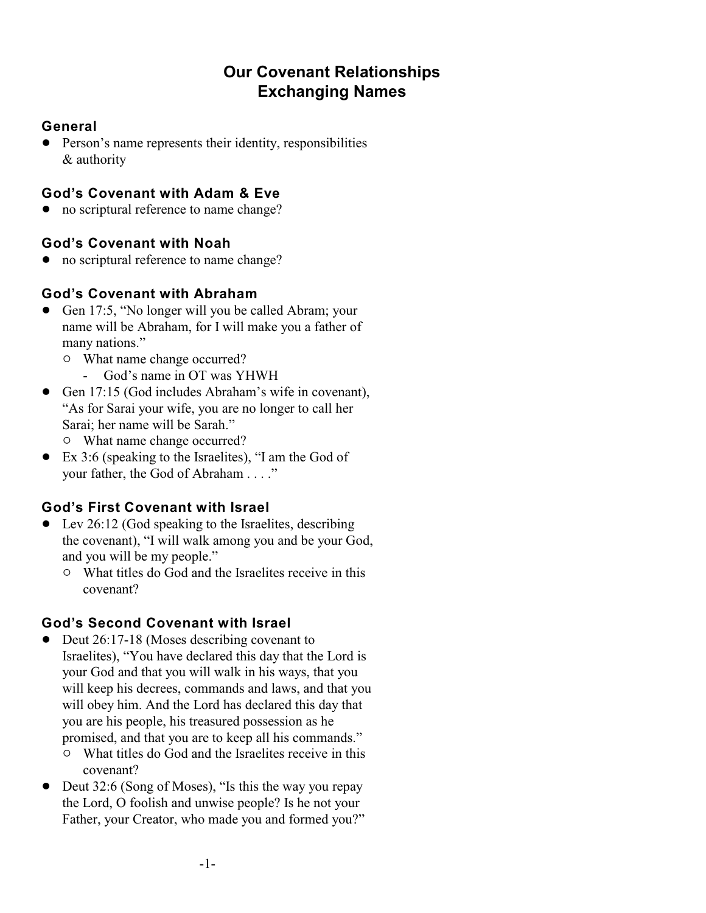# **Our Covenant Relationships Exchanging Names**

### **General**

• Person's name represents their identity, responsibilities & authority

# **God's Covenant with Adam & Eve**

• no scriptural reference to name change?

## **God's Covenant with Noah**

• no scriptural reference to name change?

## **God's Covenant with Abraham**

- Gen 17:5, "No longer will you be called Abram; your name will be Abraham, for I will make you a father of many nations."
	- $\circ$  What name change occurred?
		- God's name in OT was YHWH
- ! Gen 17:15 (God includes Abraham's wife in covenant), "As for Sarai your wife, you are no longer to call her Sarai; her name will be Sarah."  $\circ$  What name change occurred?
- ! Ex 3:6 (speaking to the Israelites), "I am the God of your father, the God of Abraham . . . ."

# **God's First Covenant with Israel**

- $\bullet$  Lev 26:12 (God speaking to the Israelites, describing the covenant), "I will walk among you and be your God, and you will be my people."
	- " What titles do God and the Israelites receive in this covenant?

## **God's Second Covenant with Israel**

- Deut 26:17-18 (Moses describing covenant to Israelites), "You have declared this day that the Lord is your God and that you will walk in his ways, that you will keep his decrees, commands and laws, and that you will obey him. And the Lord has declared this day that you are his people, his treasured possession as he promised, and that you are to keep all his commands."
	- " What titles do God and the Israelites receive in this covenant?
- Deut 32:6 (Song of Moses), "Is this the way you repay the Lord, O foolish and unwise people? Is he not your Father, your Creator, who made you and formed you?"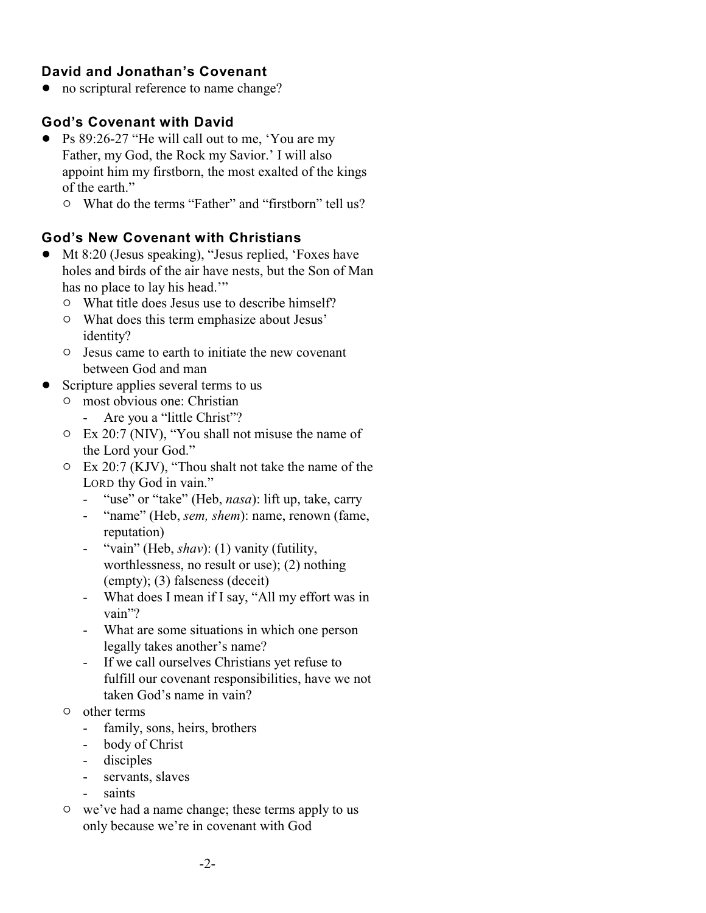### **David and Jonathan's Covenant**

• no scriptural reference to name change?

#### **God's Covenant with David**

- Ps 89:26-27 "He will call out to me, 'You are my Father, my God, the Rock my Savior.' I will also appoint him my firstborn, the most exalted of the kings of the earth."
	- " What do the terms "Father" and "firstborn" tell us?

#### **God's New Covenant with Christians**

- ! Mt 8:20 (Jesus speaking), "Jesus replied, 'Foxes have holes and birds of the air have nests, but the Son of Man has no place to lay his head."
	- $\circ$  What title does Jesus use to describe himself?
	- $\circ$  What does this term emphasize about Jesus' identity?
	- $\circ$  Jesus came to earth to initiate the new covenant between God and man
- Scripture applies several terms to us
	- <sup>o</sup> most obvious one: Christian
		- Are you a "little Christ"?
	- $\circ$  Ex 20:7 (NIV), "You shall not misuse the name of the Lord your God."
	- $\circ$  Ex 20:7 (KJV), "Thou shalt not take the name of the LORD thy God in vain."
		- "use" or "take" (Heb, *nasa*): lift up, take, carry
		- "name" (Heb, *sem, shem*): name, renown (fame, reputation)
		- "vain" (Heb, *shav*): (1) vanity (futility, worthlessness, no result or use); (2) nothing (empty); (3) falseness (deceit)
		- What does I mean if I say, "All my effort was in vain"?
		- What are some situations in which one person legally takes another's name?
		- If we call ourselves Christians yet refuse to fulfill our covenant responsibilities, have we not taken God's name in vain?
	- $\circ$  other terms
		- family, sons, heirs, brothers
		- body of Christ
		- disciples
		- servants, slaves
		- saints
	- $\circ$  we've had a name change; these terms apply to us only because we're in covenant with God